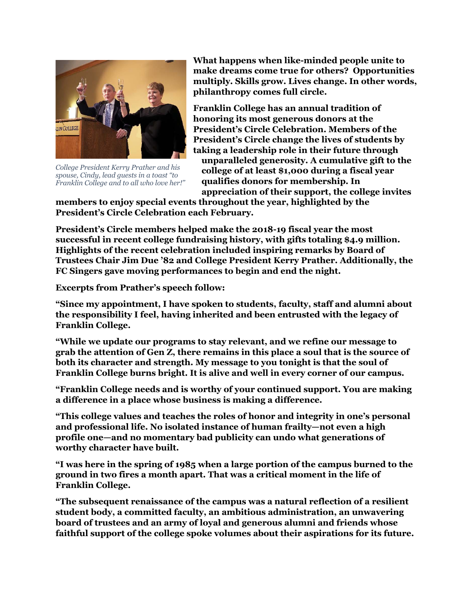

*College President Kerry Prather and his spouse, Cindy, lead guests in a toast "to Franklin College and to all who love her!"*

**What happens when like-minded people unite to make dreams come true for others? Opportunities multiply. Skills grow. Lives change. In other words, philanthropy comes full circle.**

**Franklin College has an annual tradition of honoring its most generous donors at the President's Circle Celebration. Members of the President's Circle change the lives of students by taking a leadership role in their future through unparalleled generosity. A cumulative gift to the college of at least \$1,000 during a fiscal year qualifies donors for membership. In appreciation of their support, the college invites** 

**members to enjoy special events throughout the year, highlighted by the President's Circle Celebration each February.** 

**President's Circle members helped make the 2018-19 fiscal year the most successful in recent college fundraising history, with gifts totaling \$4.9 million. Highlights of the recent celebration included inspiring remarks by Board of Trustees Chair Jim Due '82 and College President Kerry Prather. Additionally, the FC Singers gave moving performances to begin and end the night.** 

**Excerpts from Prather's speech follow:** 

**"Since my appointment, I have spoken to students, faculty, staff and alumni about the responsibility I feel, having inherited and been entrusted with the legacy of Franklin College.**

**"While we update our programs to stay relevant, and we refine our message to grab the attention of Gen Z, there remains in this place a soul that is the source of both its character and strength. My message to you tonight is that the soul of Franklin College burns bright. It is alive and well in every corner of our campus.** 

**"Franklin College needs and is worthy of your continued support. You are making a difference in a place whose business is making a difference.** 

**"This college values and teaches the roles of honor and integrity in one's personal and professional life. No isolated instance of human frailty—not even a high profile one—and no momentary bad publicity can undo what generations of worthy character have built.** 

**"I was here in the spring of 1985 when a large portion of the campus burned to the ground in two fires a month apart. That was a critical moment in the life of Franklin College.** 

**"The subsequent renaissance of the campus was a natural reflection of a resilient student body, a committed faculty, an ambitious administration, an unwavering board of trustees and an army of loyal and generous alumni and friends whose faithful support of the college spoke volumes about their aspirations for its future.**